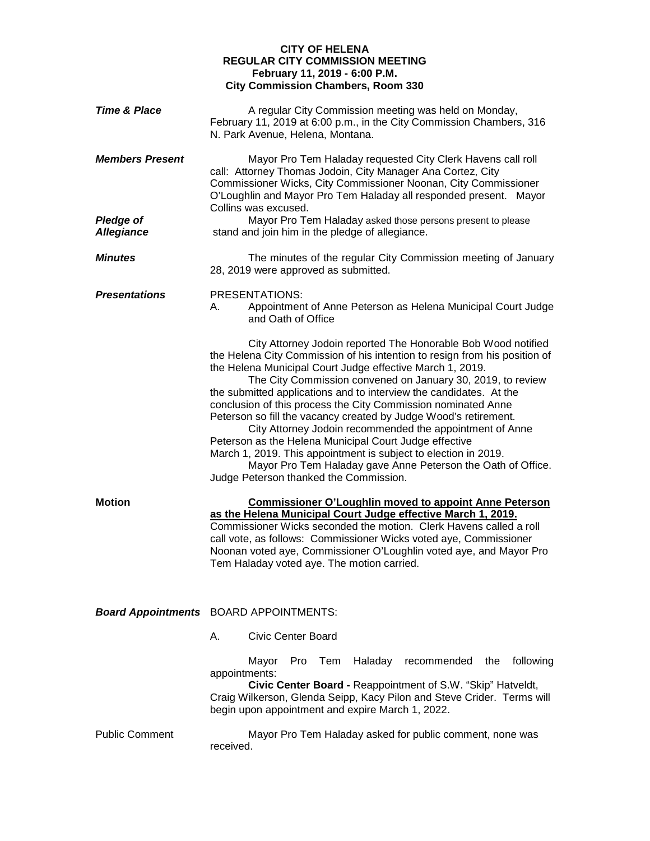## **CITY OF HELENA REGULAR CITY COMMISSION MEETING February 11, 2019 - 6:00 P.M. City Commission Chambers, Room 330**

| <b>Time &amp; Place</b>                    | A regular City Commission meeting was held on Monday,<br>February 11, 2019 at 6:00 p.m., in the City Commission Chambers, 316<br>N. Park Avenue, Helena, Montana.                                                                                                                                                                                                                                                                                                                                                                                                                                                                                                                                                                                                                     |
|--------------------------------------------|---------------------------------------------------------------------------------------------------------------------------------------------------------------------------------------------------------------------------------------------------------------------------------------------------------------------------------------------------------------------------------------------------------------------------------------------------------------------------------------------------------------------------------------------------------------------------------------------------------------------------------------------------------------------------------------------------------------------------------------------------------------------------------------|
| <b>Members Present</b><br><b>Pledge of</b> | Mayor Pro Tem Haladay requested City Clerk Havens call roll<br>call: Attorney Thomas Jodoin, City Manager Ana Cortez, City<br>Commissioner Wicks, City Commissioner Noonan, City Commissioner<br>O'Loughlin and Mayor Pro Tem Haladay all responded present. Mayor<br>Collins was excused.<br>Mayor Pro Tem Haladay asked those persons present to please                                                                                                                                                                                                                                                                                                                                                                                                                             |
| <b>Allegiance</b>                          | stand and join him in the pledge of allegiance.                                                                                                                                                                                                                                                                                                                                                                                                                                                                                                                                                                                                                                                                                                                                       |
| <b>Minutes</b>                             | The minutes of the regular City Commission meeting of January<br>28, 2019 were approved as submitted.                                                                                                                                                                                                                                                                                                                                                                                                                                                                                                                                                                                                                                                                                 |
| <b>Presentations</b>                       | PRESENTATIONS:<br>Appointment of Anne Peterson as Helena Municipal Court Judge<br>А.<br>and Oath of Office                                                                                                                                                                                                                                                                                                                                                                                                                                                                                                                                                                                                                                                                            |
|                                            | City Attorney Jodoin reported The Honorable Bob Wood notified<br>the Helena City Commission of his intention to resign from his position of<br>the Helena Municipal Court Judge effective March 1, 2019.<br>The City Commission convened on January 30, 2019, to review<br>the submitted applications and to interview the candidates. At the<br>conclusion of this process the City Commission nominated Anne<br>Peterson so fill the vacancy created by Judge Wood's retirement.<br>City Attorney Jodoin recommended the appointment of Anne<br>Peterson as the Helena Municipal Court Judge effective<br>March 1, 2019. This appointment is subject to election in 2019.<br>Mayor Pro Tem Haladay gave Anne Peterson the Oath of Office.<br>Judge Peterson thanked the Commission. |
| <b>Motion</b>                              | <b>Commissioner O'Loughlin moved to appoint Anne Peterson</b><br>as the Helena Municipal Court Judge effective March 1, 2019.<br>Commissioner Wicks seconded the motion. Clerk Havens called a roll<br>call vote, as follows: Commissioner Wicks voted aye, Commissioner<br>Noonan voted aye, Commissioner O'Loughlin voted aye, and Mayor Pro<br>Tem Haladay voted aye. The motion carried.                                                                                                                                                                                                                                                                                                                                                                                          |
|                                            | <b>Board Appointments</b> BOARD APPOINTMENTS:<br><b>Civic Center Board</b><br>А.                                                                                                                                                                                                                                                                                                                                                                                                                                                                                                                                                                                                                                                                                                      |
|                                            | Pro<br>Tem<br>Haladay<br>recommended the<br>following<br>Mayor<br>appointments:<br>Civic Center Board - Reappointment of S.W. "Skip" Hatveldt,<br>Craig Wilkerson, Glenda Seipp, Kacy Pilon and Steve Crider. Terms will<br>begin upon appointment and expire March 1, 2022.                                                                                                                                                                                                                                                                                                                                                                                                                                                                                                          |
| <b>Public Comment</b>                      | Mayor Pro Tem Haladay asked for public comment, none was<br>received.                                                                                                                                                                                                                                                                                                                                                                                                                                                                                                                                                                                                                                                                                                                 |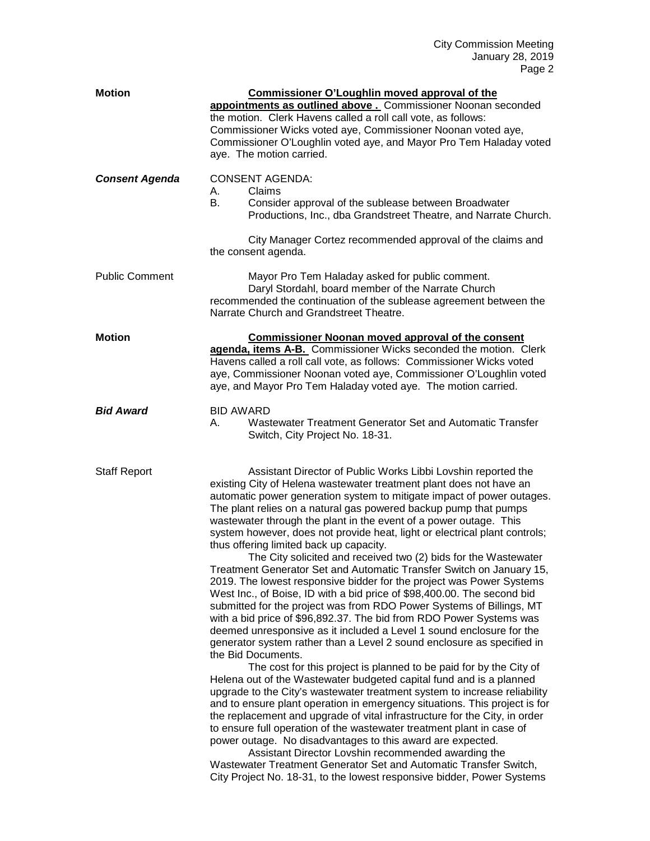| <b>Motion</b>         | <b>Commissioner O'Loughlin moved approval of the</b><br>appointments as outlined above . Commissioner Noonan seconded                                                                                                                                                                                                                                                                                                                                                                                                                                                                                                                                                                                                                                                                                                                                                                                                                                                                                                                                                                                                                                                                                                                                                                                                                                                                                                                                                                                                                                                                                                                                                                                                                                                                                                                    |
|-----------------------|------------------------------------------------------------------------------------------------------------------------------------------------------------------------------------------------------------------------------------------------------------------------------------------------------------------------------------------------------------------------------------------------------------------------------------------------------------------------------------------------------------------------------------------------------------------------------------------------------------------------------------------------------------------------------------------------------------------------------------------------------------------------------------------------------------------------------------------------------------------------------------------------------------------------------------------------------------------------------------------------------------------------------------------------------------------------------------------------------------------------------------------------------------------------------------------------------------------------------------------------------------------------------------------------------------------------------------------------------------------------------------------------------------------------------------------------------------------------------------------------------------------------------------------------------------------------------------------------------------------------------------------------------------------------------------------------------------------------------------------------------------------------------------------------------------------------------------------|
|                       | the motion. Clerk Havens called a roll call vote, as follows:<br>Commissioner Wicks voted aye, Commissioner Noonan voted aye,<br>Commissioner O'Loughlin voted aye, and Mayor Pro Tem Haladay voted<br>aye. The motion carried.                                                                                                                                                                                                                                                                                                                                                                                                                                                                                                                                                                                                                                                                                                                                                                                                                                                                                                                                                                                                                                                                                                                                                                                                                                                                                                                                                                                                                                                                                                                                                                                                          |
| <b>Consent Agenda</b> | <b>CONSENT AGENDA:</b><br>Claims<br>А.<br>В.<br>Consider approval of the sublease between Broadwater<br>Productions, Inc., dba Grandstreet Theatre, and Narrate Church.                                                                                                                                                                                                                                                                                                                                                                                                                                                                                                                                                                                                                                                                                                                                                                                                                                                                                                                                                                                                                                                                                                                                                                                                                                                                                                                                                                                                                                                                                                                                                                                                                                                                  |
|                       | City Manager Cortez recommended approval of the claims and<br>the consent agenda.                                                                                                                                                                                                                                                                                                                                                                                                                                                                                                                                                                                                                                                                                                                                                                                                                                                                                                                                                                                                                                                                                                                                                                                                                                                                                                                                                                                                                                                                                                                                                                                                                                                                                                                                                        |
| <b>Public Comment</b> | Mayor Pro Tem Haladay asked for public comment.<br>Daryl Stordahl, board member of the Narrate Church<br>recommended the continuation of the sublease agreement between the<br>Narrate Church and Grandstreet Theatre.                                                                                                                                                                                                                                                                                                                                                                                                                                                                                                                                                                                                                                                                                                                                                                                                                                                                                                                                                                                                                                                                                                                                                                                                                                                                                                                                                                                                                                                                                                                                                                                                                   |
| <b>Motion</b>         | <b>Commissioner Noonan moved approval of the consent</b><br>agenda, items A-B. Commissioner Wicks seconded the motion. Clerk<br>Havens called a roll call vote, as follows: Commissioner Wicks voted<br>aye, Commissioner Noonan voted aye, Commissioner O'Loughlin voted<br>aye, and Mayor Pro Tem Haladay voted aye. The motion carried.                                                                                                                                                                                                                                                                                                                                                                                                                                                                                                                                                                                                                                                                                                                                                                                                                                                                                                                                                                                                                                                                                                                                                                                                                                                                                                                                                                                                                                                                                               |
| <b>Bid Award</b>      | <b>BID AWARD</b><br>Wastewater Treatment Generator Set and Automatic Transfer<br>А.<br>Switch, City Project No. 18-31.                                                                                                                                                                                                                                                                                                                                                                                                                                                                                                                                                                                                                                                                                                                                                                                                                                                                                                                                                                                                                                                                                                                                                                                                                                                                                                                                                                                                                                                                                                                                                                                                                                                                                                                   |
| <b>Staff Report</b>   | Assistant Director of Public Works Libbi Lovshin reported the<br>existing City of Helena wastewater treatment plant does not have an<br>automatic power generation system to mitigate impact of power outages.<br>The plant relies on a natural gas powered backup pump that pumps<br>wastewater through the plant in the event of a power outage. This<br>system however, does not provide heat, light or electrical plant controls;<br>thus offering limited back up capacity.<br>The City solicited and received two (2) bids for the Wastewater<br>Treatment Generator Set and Automatic Transfer Switch on January 15,<br>2019. The lowest responsive bidder for the project was Power Systems<br>West Inc., of Boise, ID with a bid price of \$98,400.00. The second bid<br>submitted for the project was from RDO Power Systems of Billings, MT<br>with a bid price of \$96,892.37. The bid from RDO Power Systems was<br>deemed unresponsive as it included a Level 1 sound enclosure for the<br>generator system rather than a Level 2 sound enclosure as specified in<br>the Bid Documents.<br>The cost for this project is planned to be paid for by the City of<br>Helena out of the Wastewater budgeted capital fund and is a planned<br>upgrade to the City's wastewater treatment system to increase reliability<br>and to ensure plant operation in emergency situations. This project is for<br>the replacement and upgrade of vital infrastructure for the City, in order<br>to ensure full operation of the wastewater treatment plant in case of<br>power outage. No disadvantages to this award are expected.<br>Assistant Director Lovshin recommended awarding the<br>Wastewater Treatment Generator Set and Automatic Transfer Switch,<br>City Project No. 18-31, to the lowest responsive bidder, Power Systems |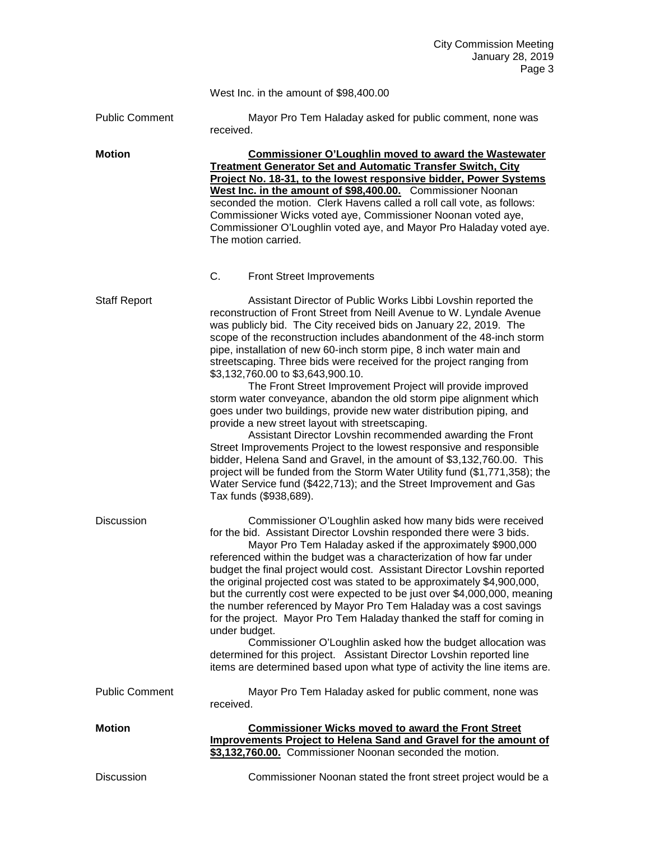|                       | West Inc. in the amount of \$98,400.00                                                                                                                                                                                                                                                                                                                                                                                                                                                                                                                                                                                                                                                                                                                                                                                                                                                                                                                                                                                                                                                                                               |
|-----------------------|--------------------------------------------------------------------------------------------------------------------------------------------------------------------------------------------------------------------------------------------------------------------------------------------------------------------------------------------------------------------------------------------------------------------------------------------------------------------------------------------------------------------------------------------------------------------------------------------------------------------------------------------------------------------------------------------------------------------------------------------------------------------------------------------------------------------------------------------------------------------------------------------------------------------------------------------------------------------------------------------------------------------------------------------------------------------------------------------------------------------------------------|
| <b>Public Comment</b> | Mayor Pro Tem Haladay asked for public comment, none was<br>received.                                                                                                                                                                                                                                                                                                                                                                                                                                                                                                                                                                                                                                                                                                                                                                                                                                                                                                                                                                                                                                                                |
| <b>Motion</b>         | <b>Commissioner O'Loughlin moved to award the Wastewater</b><br><b>Treatment Generator Set and Automatic Transfer Switch, City</b><br>Project No. 18-31, to the lowest responsive bidder, Power Systems<br>West Inc. in the amount of \$98,400.00. Commissioner Noonan<br>seconded the motion. Clerk Havens called a roll call vote, as follows:<br>Commissioner Wicks voted aye, Commissioner Noonan voted aye,<br>Commissioner O'Loughlin voted aye, and Mayor Pro Haladay voted aye.<br>The motion carried.<br>C.<br><b>Front Street Improvements</b>                                                                                                                                                                                                                                                                                                                                                                                                                                                                                                                                                                             |
| <b>Staff Report</b>   | Assistant Director of Public Works Libbi Lovshin reported the<br>reconstruction of Front Street from Neill Avenue to W. Lyndale Avenue<br>was publicly bid. The City received bids on January 22, 2019. The<br>scope of the reconstruction includes abandonment of the 48-inch storm<br>pipe, installation of new 60-inch storm pipe, 8 inch water main and<br>streetscaping. Three bids were received for the project ranging from<br>\$3,132,760.00 to \$3,643,900.10.<br>The Front Street Improvement Project will provide improved<br>storm water conveyance, abandon the old storm pipe alignment which<br>goes under two buildings, provide new water distribution piping, and<br>provide a new street layout with streetscaping.<br>Assistant Director Lovshin recommended awarding the Front<br>Street Improvements Project to the lowest responsive and responsible<br>bidder, Helena Sand and Gravel, in the amount of \$3,132,760.00. This<br>project will be funded from the Storm Water Utility fund (\$1,771,358); the<br>Water Service fund (\$422,713); and the Street Improvement and Gas<br>Tax funds (\$938,689). |
| <b>Discussion</b>     | Commissioner O'Loughlin asked how many bids were received<br>for the bid. Assistant Director Lovshin responded there were 3 bids.<br>Mayor Pro Tem Haladay asked if the approximately \$900,000<br>referenced within the budget was a characterization of how far under<br>budget the final project would cost. Assistant Director Lovshin reported<br>the original projected cost was stated to be approximately \$4,900,000,<br>but the currently cost were expected to be just over \$4,000,000, meaning<br>the number referenced by Mayor Pro Tem Haladay was a cost savings<br>for the project. Mayor Pro Tem Haladay thanked the staff for coming in<br>under budget.<br>Commissioner O'Loughlin asked how the budget allocation was<br>determined for this project. Assistant Director Lovshin reported line<br>items are determined based upon what type of activity the line items are.                                                                                                                                                                                                                                     |
| <b>Public Comment</b> | Mayor Pro Tem Haladay asked for public comment, none was<br>received.                                                                                                                                                                                                                                                                                                                                                                                                                                                                                                                                                                                                                                                                                                                                                                                                                                                                                                                                                                                                                                                                |
| <b>Motion</b>         | <b>Commissioner Wicks moved to award the Front Street</b><br><b>Improvements Project to Helena Sand and Gravel for the amount of</b><br>\$3,132,760.00. Commissioner Noonan seconded the motion.                                                                                                                                                                                                                                                                                                                                                                                                                                                                                                                                                                                                                                                                                                                                                                                                                                                                                                                                     |
| Discussion            | Commissioner Noonan stated the front street project would be a                                                                                                                                                                                                                                                                                                                                                                                                                                                                                                                                                                                                                                                                                                                                                                                                                                                                                                                                                                                                                                                                       |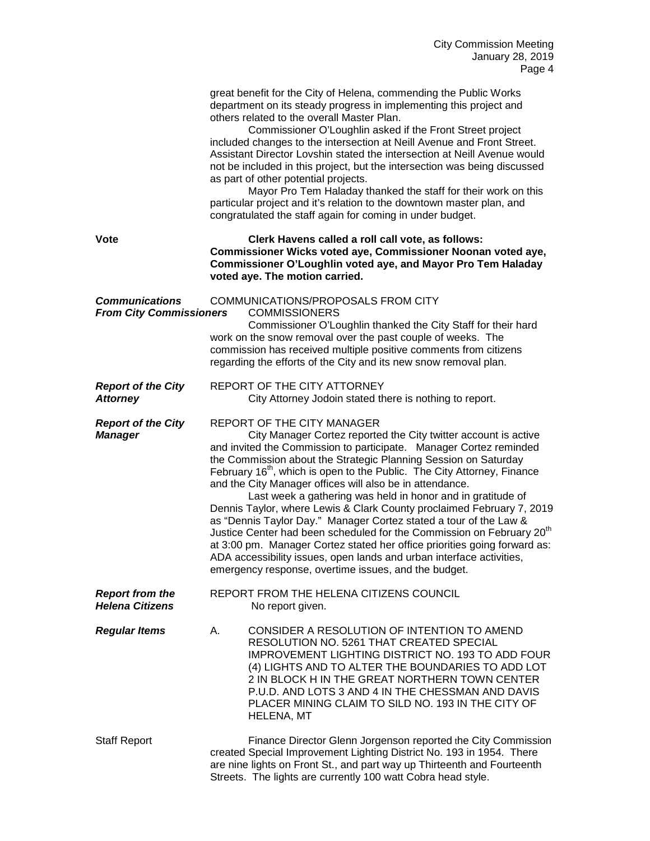|                                                         | great benefit for the City of Helena, commending the Public Works<br>department on its steady progress in implementing this project and<br>others related to the overall Master Plan.<br>Commissioner O'Loughlin asked if the Front Street project<br>included changes to the intersection at Neill Avenue and Front Street.<br>Assistant Director Lovshin stated the intersection at Neill Avenue would<br>not be included in this project, but the intersection was being discussed<br>as part of other potential projects.<br>Mayor Pro Tem Haladay thanked the staff for their work on this<br>particular project and it's relation to the downtown master plan, and<br>congratulated the staff again for coming in under budget.                                                                                                                                                                    |
|---------------------------------------------------------|----------------------------------------------------------------------------------------------------------------------------------------------------------------------------------------------------------------------------------------------------------------------------------------------------------------------------------------------------------------------------------------------------------------------------------------------------------------------------------------------------------------------------------------------------------------------------------------------------------------------------------------------------------------------------------------------------------------------------------------------------------------------------------------------------------------------------------------------------------------------------------------------------------|
| Vote                                                    | Clerk Havens called a roll call vote, as follows:<br>Commissioner Wicks voted aye, Commissioner Noonan voted aye,<br>Commissioner O'Loughlin voted aye, and Mayor Pro Tem Haladay<br>voted aye. The motion carried.                                                                                                                                                                                                                                                                                                                                                                                                                                                                                                                                                                                                                                                                                      |
| <b>Communications</b><br><b>From City Commissioners</b> | COMMUNICATIONS/PROPOSALS FROM CITY<br><b>COMMISSIONERS</b><br>Commissioner O'Loughlin thanked the City Staff for their hard<br>work on the snow removal over the past couple of weeks. The<br>commission has received multiple positive comments from citizens<br>regarding the efforts of the City and its new snow removal plan.                                                                                                                                                                                                                                                                                                                                                                                                                                                                                                                                                                       |
| <b>Report of the City</b><br><b>Attorney</b>            | REPORT OF THE CITY ATTORNEY<br>City Attorney Jodoin stated there is nothing to report.                                                                                                                                                                                                                                                                                                                                                                                                                                                                                                                                                                                                                                                                                                                                                                                                                   |
| <b>Report of the City</b><br><b>Manager</b>             | REPORT OF THE CITY MANAGER<br>City Manager Cortez reported the City twitter account is active<br>and invited the Commission to participate. Manager Cortez reminded<br>the Commission about the Strategic Planning Session on Saturday<br>February 16 <sup>th</sup> , which is open to the Public. The City Attorney, Finance<br>and the City Manager offices will also be in attendance.<br>Last week a gathering was held in honor and in gratitude of<br>Dennis Taylor, where Lewis & Clark County proclaimed February 7, 2019<br>as "Dennis Taylor Day." Manager Cortez stated a tour of the Law &<br>Justice Center had been scheduled for the Commission on February 20 <sup>th</sup><br>at 3:00 pm. Manager Cortez stated her office priorities going forward as:<br>ADA accessibility issues, open lands and urban interface activities,<br>emergency response, overtime issues, and the budget. |
| <b>Report from the</b><br><b>Helena Citizens</b>        | REPORT FROM THE HELENA CITIZENS COUNCIL<br>No report given.                                                                                                                                                                                                                                                                                                                                                                                                                                                                                                                                                                                                                                                                                                                                                                                                                                              |
| <b>Regular Items</b>                                    | CONSIDER A RESOLUTION OF INTENTION TO AMEND<br>А.<br>RESOLUTION NO. 5261 THAT CREATED SPECIAL<br><b>IMPROVEMENT LIGHTING DISTRICT NO. 193 TO ADD FOUR</b><br>(4) LIGHTS AND TO ALTER THE BOUNDARIES TO ADD LOT<br>2 IN BLOCK H IN THE GREAT NORTHERN TOWN CENTER<br>P.U.D. AND LOTS 3 AND 4 IN THE CHESSMAN AND DAVIS<br>PLACER MINING CLAIM TO SILD NO. 193 IN THE CITY OF<br><b>HELENA, MT</b>                                                                                                                                                                                                                                                                                                                                                                                                                                                                                                         |
| <b>Staff Report</b>                                     | Finance Director Glenn Jorgenson reported the City Commission<br>created Special Improvement Lighting District No. 193 in 1954. There<br>are nine lights on Front St., and part way up Thirteenth and Fourteenth<br>Streets. The lights are currently 100 watt Cobra head style.                                                                                                                                                                                                                                                                                                                                                                                                                                                                                                                                                                                                                         |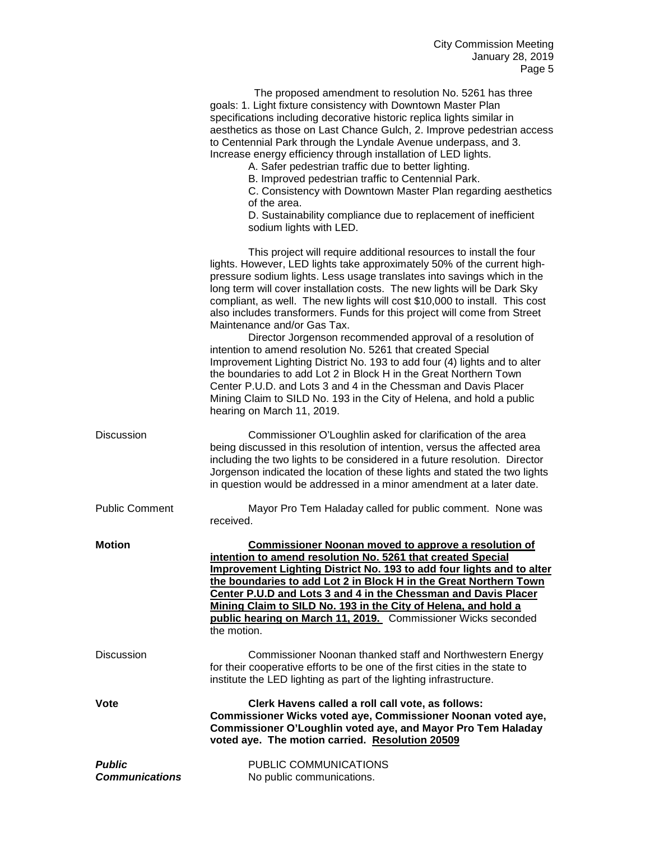|                                        | The proposed amendment to resolution No. 5261 has three<br>goals: 1. Light fixture consistency with Downtown Master Plan<br>specifications including decorative historic replica lights similar in<br>aesthetics as those on Last Chance Gulch, 2. Improve pedestrian access<br>to Centennial Park through the Lyndale Avenue underpass, and 3.<br>Increase energy efficiency through installation of LED lights.<br>A. Safer pedestrian traffic due to better lighting.<br>B. Improved pedestrian traffic to Centennial Park.<br>C. Consistency with Downtown Master Plan regarding aesthetics<br>of the area.<br>D. Sustainability compliance due to replacement of inefficient<br>sodium lights with LED.                                                                                                                                                                                                                                            |
|----------------------------------------|---------------------------------------------------------------------------------------------------------------------------------------------------------------------------------------------------------------------------------------------------------------------------------------------------------------------------------------------------------------------------------------------------------------------------------------------------------------------------------------------------------------------------------------------------------------------------------------------------------------------------------------------------------------------------------------------------------------------------------------------------------------------------------------------------------------------------------------------------------------------------------------------------------------------------------------------------------|
|                                        | This project will require additional resources to install the four<br>lights. However, LED lights take approximately 50% of the current high-<br>pressure sodium lights. Less usage translates into savings which in the<br>long term will cover installation costs. The new lights will be Dark Sky<br>compliant, as well. The new lights will cost \$10,000 to install. This cost<br>also includes transformers. Funds for this project will come from Street<br>Maintenance and/or Gas Tax.<br>Director Jorgenson recommended approval of a resolution of<br>intention to amend resolution No. 5261 that created Special<br>Improvement Lighting District No. 193 to add four (4) lights and to alter<br>the boundaries to add Lot 2 in Block H in the Great Northern Town<br>Center P.U.D. and Lots 3 and 4 in the Chessman and Davis Placer<br>Mining Claim to SILD No. 193 in the City of Helena, and hold a public<br>hearing on March 11, 2019. |
| <b>Discussion</b>                      | Commissioner O'Loughlin asked for clarification of the area<br>being discussed in this resolution of intention, versus the affected area<br>including the two lights to be considered in a future resolution. Director<br>Jorgenson indicated the location of these lights and stated the two lights<br>in question would be addressed in a minor amendment at a later date.                                                                                                                                                                                                                                                                                                                                                                                                                                                                                                                                                                            |
| <b>Public Comment</b>                  | Mayor Pro Tem Haladay called for public comment. None was<br>received.                                                                                                                                                                                                                                                                                                                                                                                                                                                                                                                                                                                                                                                                                                                                                                                                                                                                                  |
| <b>Motion</b>                          | <b>Commissioner Noonan moved to approve a resolution of</b><br>intention to amend resolution No. 5261 that created Special<br><b>Improvement Lighting District No. 193 to add four lights and to alter</b><br>the boundaries to add Lot 2 in Block H in the Great Northern Town<br>Center P.U.D and Lots 3 and 4 in the Chessman and Davis Placer<br>Mining Claim to SILD No. 193 in the City of Helena, and hold a<br>public hearing on March 11, 2019. Commissioner Wicks seconded<br>the motion.                                                                                                                                                                                                                                                                                                                                                                                                                                                     |
| <b>Discussion</b>                      | Commissioner Noonan thanked staff and Northwestern Energy<br>for their cooperative efforts to be one of the first cities in the state to<br>institute the LED lighting as part of the lighting infrastructure.                                                                                                                                                                                                                                                                                                                                                                                                                                                                                                                                                                                                                                                                                                                                          |
| <b>Vote</b>                            | Clerk Havens called a roll call vote, as follows:<br>Commissioner Wicks voted aye, Commissioner Noonan voted aye,<br>Commissioner O'Loughlin voted aye, and Mayor Pro Tem Haladay<br>voted aye. The motion carried. Resolution 20509                                                                                                                                                                                                                                                                                                                                                                                                                                                                                                                                                                                                                                                                                                                    |
| <b>Public</b><br><b>Communications</b> | PUBLIC COMMUNICATIONS<br>No public communications.                                                                                                                                                                                                                                                                                                                                                                                                                                                                                                                                                                                                                                                                                                                                                                                                                                                                                                      |